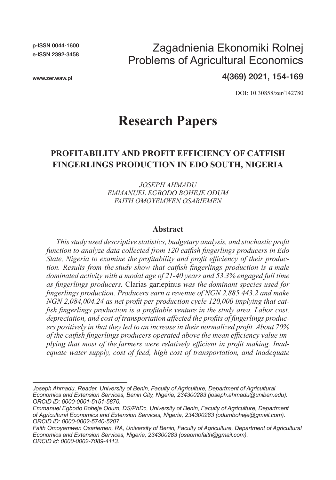p-ISSN 0044-1600 e-ISSN 2392-3458

## Zagadnienia Ekonomiki Rolnej Problems of Agricultural Economics

www.zer.waw.pl

4(369) 2021, 154-169

DOI: 10.30858/zer/142780

# **Research Papers**

## **PROFITABILITY AND PROFIT EFFICIENCY OF CATFISH FINGERLINGS PRODUCTION IN EDO SOUTH, NIGERIA**

*JOSEPH AHMADU EMMANUEL EGBODO BOHEJE ODUM FAITH OMOYEMWEN OSARIEMEN*

#### **Abstract**

*This study used descriptive statistics, budgetary analysis, and stochastic profit function to analyze data collected from 120 catfish fingerlings producers in Edo State, Nigeria to examine the profitability and profit efficiency of their production. Results from the study show that catfish fingerlings production is a male dominated activity with a modal age of 21-40 years and 53.3% engaged full time as fingerlings producers.* Clarias gariepinus *was the dominant species used for fingerlings production. Producers earn a revenue of NGN 2,885,443.2 and make NGN 2,084,004.24 as net profit per production cycle 120,000 implying that catfish fingerlings production is a profitable venture in the study area. Labor cost, depreciation, and cost of transportation affected the profits of fingerlings producers positively in that they led to an increase in their normalized profit. About 70% of the catfish fingerlings producers operated above the mean efficiency value implying that most of the farmers were relatively efficient in profit making. Inadequate water supply, cost of feed, high cost of transportation, and inadequate* 

*Joseph Ahmadu, Reader, University of Benin, Faculty of Agriculture, Department of Agricultural Economics and Extension Services, Benin City, Nigeria, 234300283 (joseph.ahmadu@uniben.edu). ORCID iD: 0000-0001-5151-5870.*

*Emmanuel Egbodo Boheje Odum, DS/PhDc, University of Benin, Faculty of Agriculture, Department of Agricultural Economics and Extension Services, Nigeria, 234300283 (odumboheje@gmail.com). ORCID iD: 0000-0002-5740-5207.*

*Faith Omoyemwen Osariemen, RA, University of Benin, Faculty of Agriculture, Department of Agricultural Economics and Extension Services, Nigeria, 234300283 (osaomofaith@gmail.com). ORCID id: 0000-0002-7089-4113.*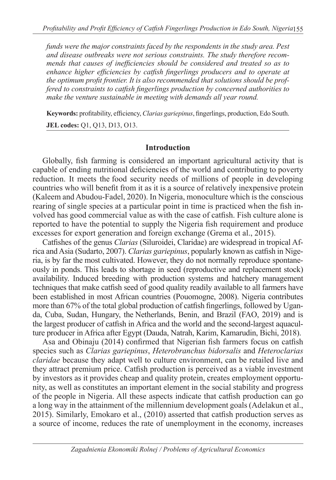*funds were the major constraints faced by the respondents in the study area. Pest and disease outbreaks were not serious constraints. The study therefore recommends that causes of inefficiencies should be considered and treated so as to enhance higher efficiencies by catfish fingerlings producers and to operate at the optimum profit frontier. It is also recommended that solutions should be proffered to constraints to catfish fingerlings production by concerned authorities to make the venture sustainable in meeting with demands all year round.*

**Keywords:** profitability, efficiency, *Clarias gariepinus*, fingerlings, production, Edo South. **JEL codes:** Q1, Q13, D13, O13.

### **Introduction**

Globally, fish farming is considered an important agricultural activity that is capable of ending nutritional deficiencies of the world and contributing to poverty reduction. It meets the food security needs of millions of people in developing countries who will benefit from it as it is a source of relatively inexpensive protein (Kaleem and Abudou-Fadel, 2020). In Nigeria, monoculture which is the conscious rearing of single species at a particular point in time is practiced when the fish involved has good commercial value as with the case of catfish. Fish culture alone is reported to have the potential to supply the Nigeria fish requirement and produce excesses for export generation and foreign exchange (Grema et al., 2015).

Catfishes of the genus *Clarias* (Siluroidei, Claridae) are widespread in tropical Africa and Asia (Sudarto, 2007). *Clarias gariepinus*, popularly known as catfish in Nigeria, is by far the most cultivated. However, they do not normally reproduce spontaneously in ponds. This leads to shortage in seed (reproductive and replacement stock) availability. Induced breeding with production systems and hatchery management techniques that make catfish seed of good quality readily available to all farmers have been established in most African countries (Pouomogne, 2008). Nigeria contributes more than 67% of the total global production of catfish fingerlings, followed by Uganda, Cuba, Sudan, Hungary, the Netherlands, Benin, and Brazil (FAO, 2019) and is the largest producer of catfish in Africa and the world and the second-largest aquaculture producer in Africa after Egypt (Dauda, Natrah, Karim, Kamarudin, Bichi, 2018).

Asa and Obinaju (2014) confirmed that Nigerian fish farmers focus on catfish species such as *Clarias gariepinus*, *Heterobranchus bidorsalis* and *Heteroclarias claridae* because they adapt well to culture environment, can be retailed live and they attract premium price. Catfish production is perceived as a viable investment by investors as it provides cheap and quality protein, creates employment opportunity, as well as constitutes an important element in the social stability and progress of the people in Nigeria. All these aspects indicate that catfish production can go a long way in the attainment of the millennium development goals (Adelakun et al., 2015). Similarly, Emokaro et al., (2010) asserted that catfish production serves as a source of income, reduces the rate of unemployment in the economy, increases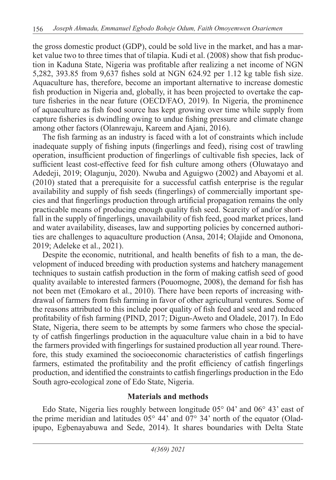the gross domestic product (GDP), could be sold live in the market, and has a market value two to three times that of tilapia. Kudi et al. (2008) show that fish production in Kaduna State, Nigeria was profitable after realizing a net income of NGN 5,282, 393.85 from 9,637 fishes sold at NGN 624.92 per 1.12 kg table fish size. Aquaculture has, therefore, become an important alternative to increase domestic fish production in Nigeria and, globally, it has been projected to overtake the capture fisheries in the near future (OECD/FAO, 2019). In Nigeria, the prominence of aquaculture as fish food source has kept growing over time while supply from capture fisheries is dwindling owing to undue fishing pressure and climate change among other factors (Olanrewaju, Kareem and Ajani, 2016).

The fish farming as an industry is faced with a lot of constraints which include inadequate supply of fishing inputs (fingerlings and feed), rising cost of trawling operation, insufficient production of fingerlings of cultivable fish species, lack of sufficient least cost-effective feed for fish culture among others (Oluwatayo and Adedeji, 2019; Olagunju, 2020). Nwuba and Aguigwo (2002) and Abayomi et al. (2010) stated that a prerequisite for a successful catfish enterprise is the regular availability and supply of fish seeds (fingerlings) of commercially important species and that fingerlings production through artificial propagation remains the only practicable means of producing enough quality fish seed. Scarcity of and/or shortfall in the supply of fingerlings, unavailability of fish feed, good market prices, land and water availability, diseases, law and supporting policies by concerned authorities are challenges to aquaculture production (Ansa, 2014; Olajide and Omonona, 2019; Adeleke et al., 2021).

Despite the economic, nutritional, and health benefits of fish to a man, the development of induced breeding with production systems and hatchery management techniques to sustain catfish production in the form of making catfish seed of good quality available to interested farmers (Pouomogne, 2008), the demand for fish has not been met (Emokaro et al., 2010). There have been reports of increasing withdrawal of farmers from fish farming in favor of other agricultural ventures. Some of the reasons attributed to this include poor quality of fish feed and seed and reduced profitability of fish farming (PIND, 2017; Digun-Aweto and Oladele, 2017). In Edo State, Nigeria, there seem to be attempts by some farmers who chose the specialty of catfish fingerlings production in the aquaculture value chain in a bid to have the farmers provided with fingerlings for sustained production all year round. Therefore, this study examined the socioeconomic characteristics of catfish fingerlings farmers, estimated the profitability and the profit efficiency of catfish fingerlings production, and identified the constraints to catfish fingerlings production in the Edo South agro-ecological zone of Edo State, Nigeria.

### **Materials and methods**

Edo State, Nigeria lies roughly between longitude 05° 04' and 06° 43' east of the prime meridian and latitudes 05° 44' and 07° 34' north of the equator (Oladipupo, Egbenayabuwa and Sede, 2014). It shares boundaries with Delta State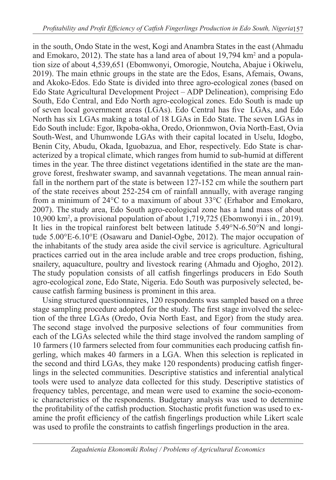in the south, Ondo State in the west, Kogi and Anambra States in the east (Ahmadu and Emokaro, 2012). The state has a land area of about  $19,794 \text{ km}^2$  and a population size of about 4,539,651 (Ebomwonyi, Omorogie, Noutcha, Abajue i Okiwelu, 2019). The main ethnic groups in the state are the Edos, Esans, Afemais, Owans, and Akoko-Edos. Edo State is divided into three agro-ecological zones (based on Edo State Agricultural Development Project – ADP Delineation), comprising Edo South, Edo Central, and Edo North agro-ecological zones. Edo South is made up of seven local government areas (LGAs). Edo Central has five LGAs, and Edo North has six LGAs making a total of 18 LGAs in Edo State. The seven LGAs in Edo South include: Egor, Ikpoba-okha, Oredo, Orionmwon, Ovia North-East, Ovia South-West, and Uhumwonde LGAs with their capital located in Uselu, Idogbo, Benin City, Abudu, Okada, Iguobazua, and Ehor, respectively. Edo State is characterized by a tropical climate, which ranges from humid to sub-humid at different times in the year. The three distinct vegetations identified in the state are the mangrove forest, freshwater swamp, and savannah vegetations. The mean annual rainfall in the northern part of the state is between 127-152 cm while the southern part of the state receives about 252-254 cm of rainfall annually, with average ranging from a minimum of 24°C to a maximum of about 33°C (Erhabor and Emokaro, 2007). The study area, Edo South agro-ecological zone has a land mass of about 10,900 km<sup>2</sup> , a provisional population of about 1,719,725 (Ebomwonyi i in., 2019). It lies in the tropical rainforest belt between latitude 5.49°N-6.50°N and longitude 5.00°E-6.10°E (Osawaru and Daniel-Ogbe, 2012). The major occupation of the inhabitants of the study area aside the civil service is agriculture. Agricultural practices carried out in the area include arable and tree crops production, fishing, snailery, aquaculture, poultry and livestock rearing (Ahmadu and Ojogho, 2012). The study population consists of all catfish fingerlings producers in Edo South agro-ecological zone, Edo State, Nigeria. Edo South was purposively selected, because catfish farming business is prominent in this area.

Using structured questionnaires, 120 respondents was sampled based on a three stage sampling procedure adopted for the study. The first stage involved the selection of the three LGAs (Oredo, Ovia North East, and Egor) from the study area. The second stage involved the purposive selections of four communities from each of the LGAs selected while the third stage involved the random sampling of 10 farmers (10 farmers selected from four communities each producing catfish fingerling, which makes 40 farmers in a LGA. When this selection is replicated in the second and third LGAs, they make 120 respondents) producing catfish fingerlings in the selected communities. Descriptive statistics and inferential analytical tools were used to analyze data collected for this study. Descriptive statistics of frequency tables, percentage, and mean were used to examine the socio-economic characteristics of the respondents. Budgetary analysis was used to determine the profitability of the catfish production. Stochastic profit function was used to examine the profit efficiency of the catfish fingerlings production while Likert scale was used to profile the constraints to catfish fingerlings production in the area.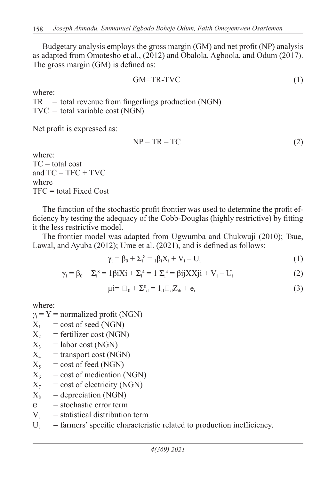Budgetary analysis employs the gross margin (GM) and net profit (NP) analysis as adapted from Omotesho et al., (2012) and Obalola, Agboola, and Odum (2017). The gross margin (GM) is defined as:

$$
GM = TR - TVC \tag{1}
$$

where:

 $TR = total$  revenue from fingerlings production (NGN)  $TVC = total variable cost (NGN)$ 

Net profit is expressed as:

$$
NP = TR - TC \tag{2}
$$

where:  $TC = total cost$ and  $TC = TFC + TVC$ where TFC = total Fixed Cost

The function of the stochastic profit frontier was used to determine the profit efficiency by testing the adequacy of the Cobb-Douglas (highly restrictive) by fitting it the less restrictive model.

The frontier model was adapted from Ugwumba and Chukwuji (2010); Tsue, Lawal, and Ayuba (2012); Ume et al. (2021), and is defined as follows:

$$
\gamma_i = \beta_0 + \sum_i^8 = {}_1\beta_i X_i + V_i - U_i
$$
\n(1)

$$
\gamma_{i} = \beta_{0} + \Sigma_{i}^{8} = 1\beta iXi + \Sigma_{i}^{4} = 1 \Sigma_{i}^{4} = \beta ijXXji + V_{i} - U_{i}
$$
 (2)

$$
\mu i = \Box_0 + \Sigma^0_{\mathbf{d}} = 1_{\mathbf{d}} \Box_{\mathbf{d}} Z_{\mathbf{d}} + \mathbf{e}_i \tag{3}
$$

where:

$$
\gamma_i
$$
 = Y = normalized profit (NGN)

- $X_1$  = cost of seed (NGN)
- $X_2$  = fertilizer cost (NGN)
- $X_3$  = labor cost (NGN)
- $X_4$  = transport cost (NGN)
- $X_5$  = cost of feed (NGN)
- $X_6$  = cost of medication (NGN)
- $X_7$  = cost of electricity (NGN)
- $X_8$  = depreciation (NGN)
- $\hat{e}$  = stochastic error term
- $V_i$  = statistical distribution term
- $U_i$  = farmers' specific characteristic related to production inefficiency.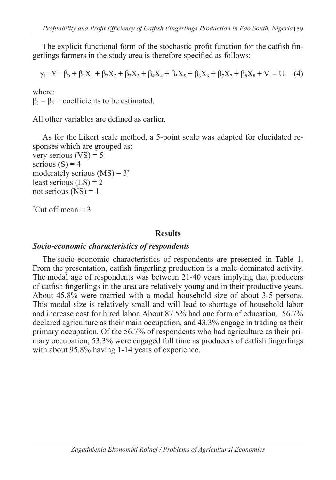The explicit functional form of the stochastic profit function for the catfish fingerlings farmers in the study area is therefore specified as follows:

$$
\gamma_i = Y = \beta_0 + \beta_1 X_1 + \beta_2 X_2 + \beta_3 X_3 + \beta_4 X_4 + \beta_5 X_5 + \beta_6 X_6 + \beta_7 X_7 + \beta_8 X_8 + V_i - U_i \quad (4)
$$

where:

 $\beta_1 - \beta_8$  = coefficients to be estimated.

All other variables are defined as earlier.

As for the Likert scale method, a 5-point scale was adapted for elucidated responses which are grouped as:

very serious  $(VS) = 5$ serious  $(S) = 4$ moderately serious  $(MS) = 3^*$ least serious  $(LS) = 2$ not serious  $(NS) = 1$ 

\* Cut off mean = 3

#### **Results**

### *Socio-economic characteristics of respondents*

The socio-economic characteristics of respondents are presented in Table 1. From the presentation, catfish fingerling production is a male dominated activity. The modal age of respondents was between 21-40 years implying that producers of catfish fingerlings in the area are relatively young and in their productive years. About 45.8% were married with a modal household size of about 3-5 persons. This modal size is relatively small and will lead to shortage of household labor and increase cost for hired labor. About 87.5% had one form of education, 56.7% declared agriculture as their main occupation, and 43.3% engage in trading as their primary occupation. Of the 56.7% of respondents who had agriculture as their primary occupation, 53.3% were engaged full time as producers of catfish fingerlings with about 95.8% having 1-14 years of experience.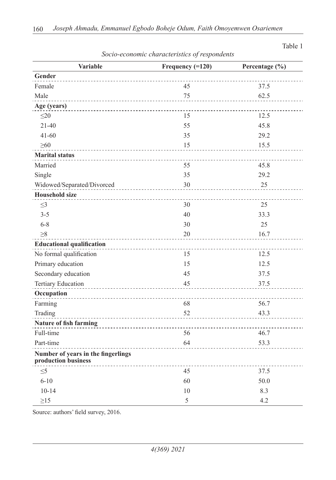| <b>Variable</b>                                           | Frequency $(=120)$ | Percentage (%) |
|-----------------------------------------------------------|--------------------|----------------|
| Gender                                                    |                    |                |
| Female                                                    | 45                 | 37.5           |
| Male                                                      | 75                 | 62.5           |
| Age (years)                                               |                    |                |
| $\leq$ 20                                                 | 15                 | 12.5           |
| $21 - 40$                                                 | 55                 | 45.8           |
| $41 - 60$                                                 | 35                 | 29.2           |
| $\geq 60$                                                 | 15                 | 15.5           |
| <b>Marital status</b>                                     |                    |                |
| Married                                                   | 55                 | 45.8           |
| Single                                                    | 35                 | 29.2           |
| Widowed/Separated/Divorced                                | 30                 | 25             |
| <b>Household size</b>                                     |                    |                |
| $\leq$ 3                                                  | 30                 | 25             |
| $3 - 5$                                                   | 40                 | 33.3           |
| $6 - 8$                                                   | 30                 | 25             |
| $\geq 8$                                                  | 20                 | 16.7           |
| <b>Educational qualification</b>                          |                    |                |
| No formal qualification                                   | 15                 | 12.5           |
| Primary education                                         | 15                 | 12.5           |
| Secondary education                                       | 45                 | 37.5           |
| <b>Tertiary Education</b>                                 | 45                 | 37.5           |
| Occupation                                                |                    |                |
| Farming                                                   | 68                 | 56.7           |
| Trading                                                   | 52                 | 43.3           |
| <b>Nature of fish farming</b>                             |                    |                |
| Full-time                                                 | 56                 | 46.7           |
| Part-time                                                 | 64                 | 53.3           |
| Number of years in the fingerlings<br>production business |                    |                |
| $\leq 5$                                                  | 45                 | 37.5           |
| $6 - 10$                                                  | 60                 | 50.0           |
| $10 - 14$                                                 | 10                 | 8.3            |
| $\geq$ 15                                                 | 5                  | 4.2            |

#### *Socio-economic characteristics of respondents*

Table 1

Source: authors' field survey, 2016.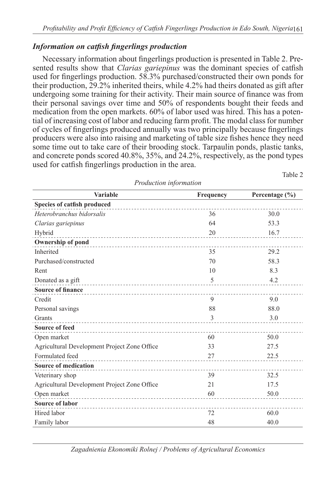## *Information on catfish fingerlings production*

Necessary information about fingerlings production is presented in Table 2. Presented results show that *Clarias gariepinus* was the dominant species of catfish used for fingerlings production. 58.3% purchased/constructed their own ponds for their production, 29.2% inherited theirs, while 4.2% had theirs donated as gift after undergoing some training for their activity. Their main source of finance was from their personal savings over time and 50% of respondents bought their feeds and medication from the open markets. 60% of labor used was hired. This has a potential of increasing cost of labor and reducing farm profit. The modal class for number of cycles of fingerlings produced annually was two principally because fingerlings producers were also into raising and marketing of table size fishes hence they need some time out to take care of their brooding stock. Tarpaulin ponds, plastic tanks, and concrete ponds scored 40.8%, 35%, and 24.2%, respectively, as the pond types used for catfish fingerlings production in the area.

| <b>Variable</b>                                | <b>Frequency</b> | Percentage $(\% )$ |
|------------------------------------------------|------------------|--------------------|
| Species of catfish produced                    |                  |                    |
| Heterobranchus bidorsalis                      | 36               | 30.0               |
| Clarias gariepinus                             | 64               | 53.3               |
| Hybrid<br>------------------------------------ | 20               | 16.7               |
| Ownership of pond                              |                  |                    |
| Inherited                                      | 35               | 29.2               |
| Purchased/constructed                          | 70               | 58.3               |
| Rent                                           | 10               | 8.3                |
| Donated as a gift                              | 5                | 4.2                |
| <b>Source of finance</b>                       |                  |                    |
| Credit                                         | 9                | 9.0                |
| Personal savings                               | 88               | 88.0               |
| Grants                                         | 3                | 3.0                |
| <b>Source of feed</b>                          |                  |                    |
| Open market                                    | 60               | 50.0               |
| Agricultural Development Project Zone Office   | 33               | 27.5               |
| Formulated feed                                | 27               | 22.5               |
| <b>Source of medication</b>                    |                  |                    |
| Veterinary shop                                | 39               | 32.5               |
| Agricultural Development Project Zone Office   | 21               | 17.5               |
| Open market                                    | 60               | 50.0               |
| <b>Source of labor</b>                         |                  |                    |
| Hired labor                                    | 72               | 60.0               |
| Family labor                                   | 48               | 40.0               |

*Production information*

Table 2

*Zagadnienia Ekonomiki Rolnej / Problems of Agricultural Economics*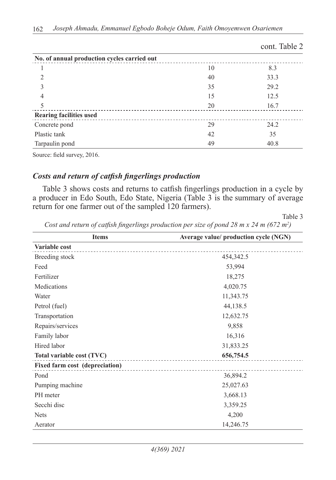|                                             |    | cont. Table 2 |
|---------------------------------------------|----|---------------|
| No. of annual production cycles carried out |    |               |
|                                             | 10 | 8.3           |
|                                             | 40 | 33.3          |
| 3                                           | 35 | 29.2          |
| 4                                           | 15 | 12.5          |
| 5                                           | 20 | 16.7          |
| <b>Rearing facilities used</b>              |    |               |
| Concrete pond                               | 29 | 24.2          |
| Plastic tank                                | 42 | 35            |
| Tarpaulin pond                              | 49 | 40.8          |

Source: field survey, 2016.

### *Costs and return of catfish fingerlings production*

Table 3 shows costs and returns to catfish fingerlings production in a cycle by a producer in Edo South, Edo State, Nigeria (Table 3 is the summary of average return for one farmer out of the sampled 120 farmers).

Table 3

| Cost and return of catfish fingerlings production per size of pond 28 m x 24 m (672 m <sup>2</sup> ) |  |  |  |  |
|------------------------------------------------------------------------------------------------------|--|--|--|--|
|------------------------------------------------------------------------------------------------------|--|--|--|--|

| <b>Items</b>                          | Average value/ production cycle (NGN) |
|---------------------------------------|---------------------------------------|
| Variable cost                         |                                       |
| Breeding stock                        | 454, 342. 5                           |
| Feed                                  | 53,994                                |
| Fertilizer                            | 18,275                                |
| Medications                           | 4,020.75                              |
| Water                                 | 11,343.75                             |
| Petrol (fuel)                         | 44,138.5                              |
| Transportation                        | 12,632.75                             |
| Repairs/services                      | 9,858                                 |
| Family labor                          | 16,316                                |
| Hired labor                           | 31,833.25                             |
| Total variable cost (TVC)             | 656,754.5                             |
| <b>Fixed farm cost (depreciation)</b> |                                       |
| Pond                                  | 36,894.2                              |
| Pumping machine                       | 25,027.63                             |
| PH meter                              | 3,668.13                              |
| Secchi disc                           | 3,359.25                              |
| <b>Nets</b>                           | 4,200                                 |
| Aerator                               | 14,246.75                             |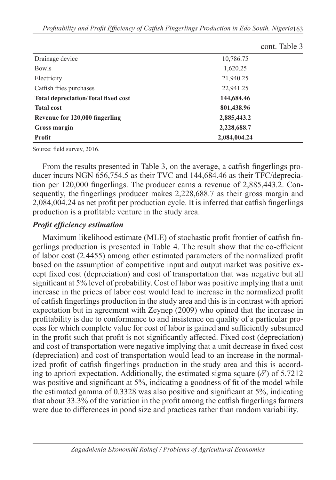$c \neq 1$ 

|                                            | cont. Table 3 |
|--------------------------------------------|---------------|
| Drainage device                            | 10,786.75     |
| Bowls                                      | 1,620.25      |
| Electricity                                | 21,940.25     |
| Catfish fries purchases                    | 22,941.25     |
| <b>Total depreciation/Total fixed cost</b> | 144,684.46    |
| <b>Total cost</b>                          | 801,438.96    |
| Revenue for 120,000 fingerling             | 2,885,443.2   |
| Gross margin                               | 2,228,688.7   |
| <b>Profit</b>                              | 2,084,004.24  |

Source: field survey, 2016.

From the results presented in Table 3, on the average, a catfish fingerlings producer incurs NGN 656,754.5 as their TVC and 144,684.46 as their TFC/depreciation per 120,000 fingerlings. The producer earns a revenue of 2,885,443.2. Consequently, the fingerlings producer makes 2,228,688.7 as their gross margin and 2,084,004.24 as net profit per production cycle. It is inferred that catfish fingerlings production is a profitable venture in the study area.

#### *Profit efficiency estimation*

Maximum likelihood estimate (MLE) of stochastic profit frontier of catfish fingerlings production is presented in Table 4. The result show that the co-efficient of labor cost (2.4455) among other estimated parameters of the normalized profit based on the assumption of competitive input and output market was positive except fixed cost (depreciation) and cost of transportation that was negative but all significant at 5% level of probability. Cost of labor was positive implying that a unit increase in the prices of labor cost would lead to increase in the normalized profit of catfish fingerlings production in the study area and this is in contrast with apriori expectation but in agreement with Zeynep (2009) who opined that the increase in profitability is due to conformance to and insistence on quality of a particular process for which complete value for cost of labor is gained and sufficiently subsumed in the profit such that profit is not significantly affected. Fixed cost (depreciation) and cost of transportation were negative implying that a unit decrease in fixed cost (depreciation) and cost of transportation would lead to an increase in the normalized profit of catfish fingerlings production in the study area and this is according to apriori expectation. Additionally, the estimated sigma square  $(\delta^2)$  of 5.7212 was positive and significant at 5%, indicating a goodness of fit of the model while the estimated gamma of 0.3328 was also positive and significant at 5%, indicating that about 33.3% of the variation in the profit among the catfish fingerlings farmers were due to differences in pond size and practices rather than random variability.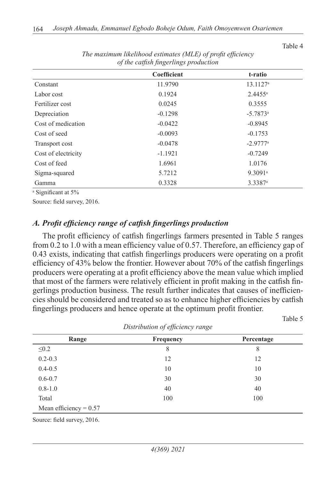| of the carpon physicials production |             |                        |  |
|-------------------------------------|-------------|------------------------|--|
|                                     | Coefficient | t-ratio                |  |
| Constant                            | 11.9790     | 13.1127 <sup>a</sup>   |  |
| Labor cost                          | 0.1924      | $2.4455^a$             |  |
| Fertilizer cost                     | 0.0245      | 0.3555                 |  |
| Depreciation                        | $-0.1298$   | $-5.7873$ <sup>a</sup> |  |
| Cost of medication                  | $-0.0422$   | $-0.8945$              |  |
| Cost of seed                        | $-0.0093$   | $-0.1753$              |  |
| Transport cost                      | $-0.0478$   | $-2.9777$ <sup>a</sup> |  |
| Cost of electricity                 | $-1.1921$   | $-0.7249$              |  |
| Cost of feed                        | 1.6961      | 1.0176                 |  |
| Sigma-squared                       | 5.7212      | 9.3091 <sup>a</sup>    |  |
| Gamma                               | 0.3328      | 3.3387 <sup>a</sup>    |  |

*The maximum likelihood estimates (MLE) of profit efficiency of the catfish fingerlings production*

a Significant at 5%

Source: field survey, 2016.

#### *A. Profit efficiency range of catfish fingerlings production*

The profit efficiency of catfish fingerlings farmers presented in Table 5 ranges from 0.2 to 1.0 with a mean efficiency value of 0.57. Therefore, an efficiency gap of 0.43 exists, indicating that catfish fingerlings producers were operating on a profit efficiency of 43% below the frontier. However about 70% of the catfish fingerlings producers were operating at a profit efficiency above the mean value which implied that most of the farmers were relatively efficient in profit making in the catfish fingerlings production business. The result further indicates that causes of inefficiencies should be considered and treated so as to enhance higher efficiencies by catfish fingerlings producers and hence operate at the optimum profit frontier.

|--|

| Distribution of efficiency range |                  |            |  |
|----------------------------------|------------------|------------|--|
| Range                            | <b>Frequency</b> | Percentage |  |
| $\leq 0.2$                       | 8                | 8          |  |
| $0.2 - 0.3$                      | 12               | 12         |  |
| $0.4 - 0.5$                      | 10               | 10         |  |
| $0.6 - 0.7$                      | 30               | 30         |  |
| $0.8 - 1.0$                      | 40               | 40         |  |
| Total                            | 100              | 100        |  |
| Mean efficiency = $0.57$         |                  |            |  |

*Distribution of efficiency range*

Source: field survey, 2016.

Table 4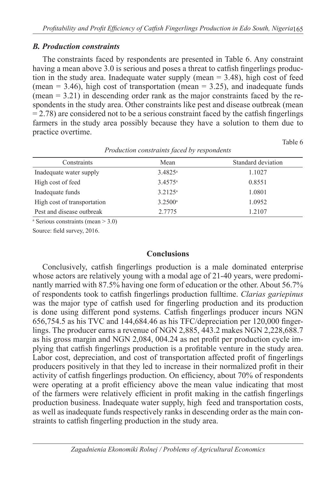#### *B. Production constraints*

The constraints faced by respondents are presented in Table 6. Any constraint having a mean above 3.0 is serious and poses a threat to catfish fingerlings production in the study area. Inadequate water supply (mean  $= 3.48$ ), high cost of feed (mean  $= 3.46$ ), high cost of transportation (mean  $= 3.25$ ), and inadequate funds  $(mean = 3.21)$  in descending order rank as the major constraints faced by the respondents in the study area. Other constraints like pest and disease outbreak (mean  $= 2.78$ ) are considered not to be a serious constraint faced by the catfish fingerlings farmers in the study area possibly because they have a solution to them due to practice overtime.

Table 6

| Constraints                 | Mean                  | Standard deviation |
|-----------------------------|-----------------------|--------------------|
| Inadequate water supply     | $3.4825$ <sup>a</sup> | 1.1027             |
| High cost of feed           | $3.4575$ <sup>a</sup> | 0.8551             |
| Inadequate funds            | $3.2125^a$            | 1.0801             |
| High cost of transportation | 3.2500a               | 1.0952             |
| Pest and disease outbreak   | 2.7775                | 1.2107             |

#### *Production constraints faced by respondents*

a Serious constraints (mean > 3.0)

Source: field survey, 2016.

#### **Conclusions**

Conclusively, catfish fingerlings production is a male dominated enterprise whose actors are relatively young with a modal age of 21-40 years, were predominantly married with 87.5% having one form of education or the other. About 56.7% of respondents took to catfish fingerlings production fulltime. *Clarias gariepinus*  was the major type of catfish used for fingerling production and its production is done using different pond systems. Catfish fingerlings producer incurs NGN 656,754.5 as his TVC and 144,684.46 as his TFC/depreciation per 120,000 fingerlings. The producer earns a revenue of NGN 2,885, 443.2 makes NGN 2,228,688.7 as his gross margin and NGN 2,084, 004.24 as net profit per production cycle implying that catfish fingerlings production is a profitable venture in the study area. Labor cost, depreciation, and cost of transportation affected profit of fingerlings producers positively in that they led to increase in their normalized profit in their activity of catfish fingerlings production. On efficiency, about 70% of respondents were operating at a profit efficiency above the mean value indicating that most of the farmers were relatively efficient in profit making in the catfish fingerlings production business. Inadequate water supply, high feed and transportation costs, as well as inadequate funds respectively ranks in descending order as the main constraints to catfish fingerling production in the study area.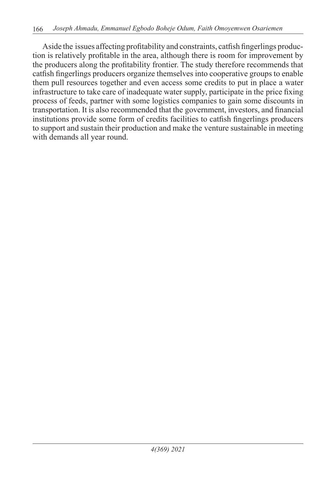Aside the issues affecting profitability and constraints, catfish fingerlings production is relatively profitable in the area, although there is room for improvement by the producers along the profitability frontier. The study therefore recommends that catfish fingerlings producers organize themselves into cooperative groups to enable them pull resources together and even access some credits to put in place a water infrastructure to take care of inadequate water supply, participate in the price fixing process of feeds, partner with some logistics companies to gain some discounts in transportation. It is also recommended that the government, investors, and financial institutions provide some form of credits facilities to catfish fingerlings producers to support and sustain their production and make the venture sustainable in meeting with demands all year round.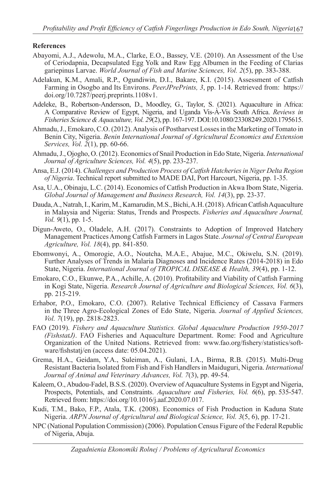#### **References**

- Abayomi, A.J., Adewolu, M.A., Clarke, E.O., Bassey, V.E. (2010). An Assessment of the Use of Ceriodapnia, Decapsulated Egg Yolk and Raw Egg Albumen in the Feeding of Clarias gariepinus Larvae. *World Journal of Fish and Marine Sciences, Vol. 2*(5), pp. 383-388.
- Adelakun, K.M., Amali, R.P., Ogundiwin, D.I., Bakare, K.I. (2015). Assessment of Catfish Farming in Osogbo and Its Environs. *PeerJPrePrints, 3*, pp. 1-14. Retrieved from: https:// doi.org/10.7287/peerj.preprints.1108v1.
- Adeleke, B., Robertson-Andersson, D., Moodley, G., Taylor, S. (2021). Aquaculture in Africa: A Comparative Review of Egypt, Nigeria, and Uganda Vis-À-Vis South Africa. *Reviews in Fisheries Science & Aquaculture, Vol. 29*(2), pp. 167-197. DOI:10.1080/23308249.2020.1795615.
- Ahmadu, J., Emokaro, C.O. (2012). Analysis of Postharvest Losses in the Marketing of Tomato in Benin City, Nigeria. *Benin International Journal of Agricultural Economics and Extension Services, Vol. 2*(1), pp. 60-66.
- Ahmadu, J., Ojogho, O. (2012). Economics of Snail Production in Edo State, Nigeria. *International Journal of Agriculture Sciences, Vol. 4*(5), pp. 233-237.
- Ansa, E.J. (2014). *Challenges and Production Process of Catfish Hatcheries in Niger Delta Region of Nigeria*. Technical report submitted to MADE DAI, Port Harcourt, Nigeria, pp. 1-35.
- Asa, U.A., Obinaju, L.C. (2014). Economics of Catfish Production in Akwa Ibom State, Nigeria. *Global Journal of Management and Business Research, Vol. 14*(3), pp. 23-37.
- Dauda, A., Natrah, I., Karim, M., Kamarudin, M.S., Bichi, A.H. (2018). African Catfish Aquaculture in Malaysia and Nigeria: Status, Trends and Prospects. *Fisheries and Aquaculture Journal, Vol. 9*(1), pp. 1-5.
- Digun-Aweto, O., Oladele, A.H. (2017). Constraints to Adoption of Improved Hatchery Management Practices Among Catfish Farmers in Lagos State. *Journal of Central European Agriculture, Vol. 18*(4), pp. 841-850.
- Ebomwonyi, A., Omorogie, A.O., Noutcha, M.A.E., Abajue, M.C., Okiwelu, S.N. (2019). Further Analyses of Trends in Malaria Diagnoses and Incidence Rates (2014-2018) in Edo State, Nigeria. *International Journal of TROPICAL DISEASE & Health, 39*(4), pp. 1-12.
- Emokaro, C.O., Ekunwe, P.A., Achille, A. (2010). Profitability and Viability of Catfish Farming in Kogi State, Nigeria. *Research Journal of Agriculture and Biological Sciences, Vol. 6*(3), pp. 215-219.
- Erhabor, P.O., Emokaro, C.O. (2007). Relative Technical Efficiency of Cassava Farmers in the Three Agro-Ecological Zones of Edo State, Nigeria. *Journal of Applied Sciences, Vol. 7*(19), pp. 2818-2823.
- FAO (2019). *Fishery and Aquaculture Statistics. Global Aquaculture Production 1950-2017 (FishstatJ)*. FAO Fisheries and Aquaculture Department. Rome: Food and Agriculture Organization of the United Nations. Retrieved from: www.fao.org/fishery/statistics/software/fishstatj/en (access date: 05.04.2021).
- Grema, H.A., Geidam, Y.A., Suleiman, A., Gulani, I.A., Birma, R.B. (2015). Multi-Drug Resistant Bacteria Isolated from Fish and Fish Handlers in Maiduguri, Nigeria. *International Journal of Animal and Veterinary Advances, Vol. 7*(3), pp. 49-54.
- Kaleem, O., Abudou-Fadel, B.S.S. (2020). Overview of Aquaculture Systems in Egypt and Nigeria, Prospects, Potentials, and Constraints. *Aquaculture and Fisheries, Vol. 6*(6), pp. 535-547. Retrieved from: https://doi.org/10.1016/j.aaf.2020.07.017.
- Kudi, T.M., Bako, F.P., Atala, T.K. (2008). Economics of Fish Production in Kaduna State Nigeria. *ARPN Journal of Agricultural and Biological Science, Vol. 3*(5, 6), pp. 17-21.
- NPC (National Population Commission) (2006). Population Census Figure of the Federal Republic of Nigeria, Abuja.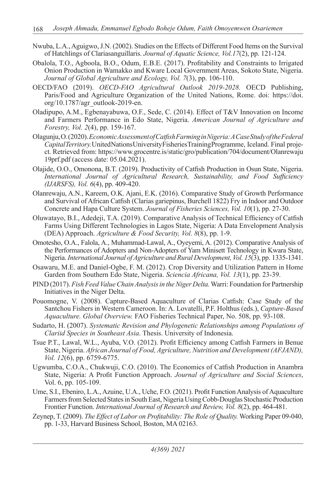- Nwuba, L.A., Aguigwo, J.N. (2002). Studies on the Effects of Different Food Items on the Survival of Hatchlings of Clariasanguillaris. *Journal of Aquatic Science, Vol.17*(2), pp. 121-124.
- Obalola, T.O., Agboola, B.O., Odum, E.B.E. (2017). Profitability and Constraints to Irrigated Onion Production in Wamakko and Kware Local Government Areas, Sokoto State, Nigeria. *Journal of Global Agriculture and Ecology, Vol. 7*(3), pp. 106-110.
- OECD/FAO (2019). *OECD-FAO Agricultural Outlook 2019-2028.* OECD Publishing, Paris/Food and Agriculture Organization of the United Nations, Rome. doi: https://doi. org/10.1787/agr\_outlook-2019-en.
- Oladipupo, A.M., Egbenayabuwa, O.F., Sede, C. (2014). Effect of T&V Innovation on Income and Farmers Performance in Edo State, Nigeria. *American Journal of Agriculture and Forestry, Vol. 2*(4), pp. 159-167.
- Olagunju, O. (2020). *Economic Assessment of Catfish Farming in Nigeria: A Case Study of the Federal Capital Territory.* United Nations University Fisheries Training Programme, Iceland. Final project. Retrieved from: https://www.grocentre.is/static/gro/publication/704/document/Olanrewaju 19prf.pdf (access date: 05.04.2021).
- Olajide, O.O., Omonona, B.T. (2019). Productivity of Catfish Production in Osun State, Nigeria. *International Journal of Agricultural Research, Sustainability, and Food Sufficiency (IJARSFS), Vol. 6*(4), pp. 409-420.
- Olanrewaju, A.N., Kareem, O.K. Ajani, E.K. (2016). Comparative Study of Growth Performance and Survival of African Catfish (Clarias gariepinus, Burchell 1822) Fry in Indoor and Outdoor Concrete and Hapa Culture System. *Journal of Fisheries Sciences, Vol. 10*(1), pp. 27-30.
- Oluwatayo, B.I., Adedeji, T.A. (2019). Comparative Analysis of Technical Efficiency of Catfish Farms Using Different Technologies in Lagos State, Nigeria: A Data Envelopment Analysis (DEA) Approach. *Agriculture & Food Security, Vol. 8*(8), pp. 1-9.
- Omotesho, O.A., Falola, A., Muhammad-Lawal, A., Oyeyemi, A. (2012). Comparative Analysis of the Performances of Adopters and Non-Adopters of Yam Minisett Technology in Kwara State, Nigeria. *International Journal of Agriculture and Rural Development, Vol. 15*(3), pp. 1335-1341.
- Osawaru, M.E. and Daniel-Ogbe, F. M. (2012). Crop Diversity and Utilization Pattern in Home Garden from Southern Edo State, Nigeria. *Sciencia Africana, Vol. 13*(1), pp. 23-39.
- PIND (2017). *Fish Feed Value Chain Analysis in the Niger Delta.* Warri: Foundation for Partnership Initiatives in the Niger Delta.
- Pouomogne, V. (2008). Capture-Based Aquaculture of Clarias Catfish: Case Study of the Santchou Fishers in Western Cameroon. In: A. Lovatelli, P.F. Holthus (eds.), *Capture-Based Aquaculture. Global Overview.* FAO Fisheries Technical Paper, No. 508, pp. 93-108.
- Sudarto, H. (2007). *Systematic Revision and Phylogenetic Relationships among Populations of Clariid Species in Southeast Asia*. Thesis. University of Indonesia.
- Tsue P.T., Lawal, W.L., Ayuba, V.O. (2012). Profit Efficiency among Catfish Farmers in Benue State, Nigeria. *African Journal of Food, Agriculture, Nutrition and Development (AFJAND), Vol. 12*(6), pp. 6759-6775.
- Ugwumba, C.O.A., Chukwuji, C.O. (2010). The Economics of Catfish Production in Anambra State, Nigeria: A Profit Function Approach. *Journal of Agriculture and Social Sciences*, Vol. 6, pp. 105-109.
- Ume, S.I., Ebeniro, L.A., Azuine, U.A., Uche, F.O. (2021). Profit Function Analysis of Aquaculture Farmers from Selected States in South East, Nigeria Using Cobb-Douglas Stochastic Production Frontier Function. *International Journal of Research and Review, Vol. 8*(2), pp. 464-481.
- Zeynep, T. (2009). *The Effect of Labor on Profitability: The Role of Quality.* Working Paper 09-040, pp. 1-33, Harvard Business School, Boston, MA 02163.